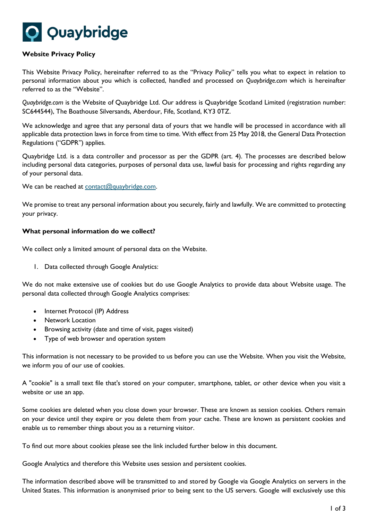

# **Website Privacy Policy**

This Website Privacy Policy, hereinafter referred to as the "Privacy Policy" tells you what to expect in relation to personal information about you which is collected, handled and processed on *Quaybridge.com* which is hereinafter referred to as the "Website".

*Quaybridge.com* is the Website of Quaybridge Ltd. Our address is Quaybridge Scotland Limited (registration number: SC644544), The Boathouse Silversands, Aberdour, Fife, Scotland, KY3 0TZ.

We acknowledge and agree that any personal data of yours that we handle will be processed in accordance with all applicable data protection laws in force from time to time. With effect from 25 May 2018, the General Data Protection Regulations ("GDPR") applies.

Quaybridge Ltd. is a data controller and processor as per the GDPR (art. 4). The processes are described below including personal data categories, purposes of personal data use, lawful basis for processing and rights regarding any of your personal data.

We can be reached at [contact@quaybridge.com.](mailto:contact@quaybridge.com)

We promise to treat any personal information about you securely, fairly and lawfully. We are committed to protecting your privacy.

## **What personal information do we collect?**

We collect only a limited amount of personal data on the Website.

1. Data collected through Google Analytics:

We do not make extensive use of cookies but do use Google Analytics to provide data about Website usage. The personal data collected through Google Analytics comprises:

- Internet Protocol (IP) Address
- Network Location
- Browsing activity (date and time of visit, pages visited)
- Type of web browser and operation system

This information is not necessary to be provided to us before you can use the Website. When you visit the Website, we inform you of our use of cookies.

A "cookie" is a small text file that's stored on your computer, smartphone, tablet, or other device when you visit a website or use an app.

Some cookies are deleted when you close down your browser. These are known as session cookies. Others remain on your device until they expire or you delete them from your cache. These are known as persistent cookies and enable us to remember things about you as a returning visitor.

To find out more about cookies please see the link included further below in this document.

Google Analytics and therefore this Website uses session and persistent cookies.

The information described above will be transmitted to and stored by Google via Google Analytics on servers in the United States. This information is anonymised prior to being sent to the US servers. Google will exclusively use this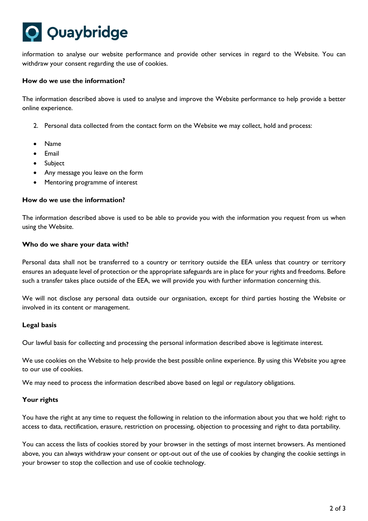# Quaybridge

information to analyse our website performance and provide other services in regard to the Website. You can withdraw your consent regarding the use of cookies.

# **How do we use the information?**

The information described above is used to analyse and improve the Website performance to help provide a better online experience.

- 2. Personal data collected from the contact form on the Website we may collect, hold and process:
- Name
- Email
- Subject
- Any message you leave on the form
- Mentoring programme of interest

## **How do we use the information?**

The information described above is used to be able to provide you with the information you request from us when using the Website.

## **Who do we share your data with?**

Personal data shall not be transferred to a country or territory outside the EEA unless that country or territory ensures an adequate level of protection or the appropriate safeguards are in place for your rights and freedoms. Before such a transfer takes place outside of the EEA, we will provide you with further information concerning this.

We will not disclose any personal data outside our organisation, except for third parties hosting the Website or involved in its content or management.

# **Legal basis**

Our lawful basis for collecting and processing the personal information described above is legitimate interest.

We use cookies on the Website to help provide the best possible online experience. By using this Website you agree to our use of cookies.

We may need to process the information described above based on legal or regulatory obligations.

# **Your rights**

You have the right at any time to request the following in relation to the information about you that we hold: right to access to data, rectification, erasure, restriction on processing, objection to processing and right to data portability.

You can access the lists of cookies stored by your browser in the settings of most internet browsers. As mentioned above, you can always withdraw your consent or opt-out out of the use of cookies by changing the cookie settings in your browser to stop the collection and use of cookie technology.